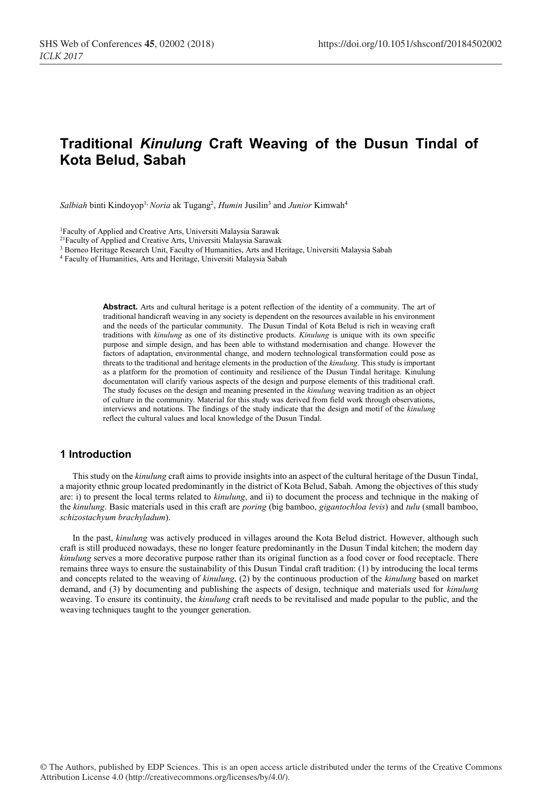# **Traditional** *Kinulung* **Craft Weaving of the Dusun Tindal of Kota Belud, Sabah**

*Salbiah* binti Kindoyop1, *Noria* ak Tugang2 , *Humin* Jusilin3 and *Junior* Kimwah4

1Faculty of Applied and Creative Arts, Universiti Malaysia Sarawak

<sup>21</sup>Faculty of Applied and Creative Arts, Universiti Malaysia Sarawak

<sup>3</sup> Borneo Heritage Research Unit, Faculty of Humanities, Arts and Heritage, Universiti Malaysia Sabah

<sup>4</sup> Faculty of Humanities, Arts and Heritage, Universiti Malaysia Sabah

**Abstract.** Arts and cultural heritage is a potent reflection of the identity of a community. The art of traditional handicraft weaving in any society is dependent on the resources available in his environment and the needs of the particular community. The Dusun Tindal of Kota Belud is rich in weaving craft traditions with *kinulung* as one of its distinctive products. *Kinulung* is unique with its own specific purpose and simple design, and has been able to withstand modernisation and change. However the factors of adaptation, environmental change, and modern technological transformation could pose as threats to the traditional and heritage elements in the production of the *kinulung*. This study is important as a platform for the promotion of continuity and resilience of the Dusun Tindal heritage. Kinulung documentaton will clarify various aspects of the design and purpose elements of this traditional craft. The study focuses on the design and meaning presented in the *kinulung* weaving tradition as an object of culture in the community. Material for this study was derived from field work through observations, interviews and notations. The findings of the study indicate that the design and motif of the *kinulung* reflect the cultural values and local knowledge of the Dusun Tindal.

#### **1 Introduction**

This study on the *kinulung* craft aims to provide insights into an aspect of the cultural heritage of the Dusun Tindal, a majority ethnic group located predominantly in the district of Kota Belud, Sabah. Among the objectives of this study are: i) to present the local terms related to *kinulung*, and ii) to document the process and technique in the making of the *kinulung*. Basic materials used in this craft are *poring* (big bamboo, *gigantochloa levis*) and *tulu* (small bamboo, *schizostachyum brachyladum*).

In the past, *kinulung* was actively produced in villages around the Kota Belud district. However, although such craft is still produced nowadays, these no longer feature predominantly in the Dusun Tindal kitchen; the modern day *kinulung* serves a more decorative purpose rather than its original function as a food cover or food receptacle. There remains three ways to ensure the sustainability of this Dusun Tindal craft tradition: (1) by introducing the local terms and concepts related to the weaving of *kinulung*, (2) by the continuous production of the *kinulung* based on market demand, and (3) by documenting and publishing the aspects of design, technique and materials used for *kinulung*  weaving. To ensure its continuity, the *kinulung* craft needs to be revitalised and made popular to the public, and the weaving techniques taught to the younger generation.

© The Authors, published by EDP Sciences. This is an open access article distributed under the terms of the Creative Commons Attribution License 4.0 (http://creativecommons.org/licenses/by/4.0/).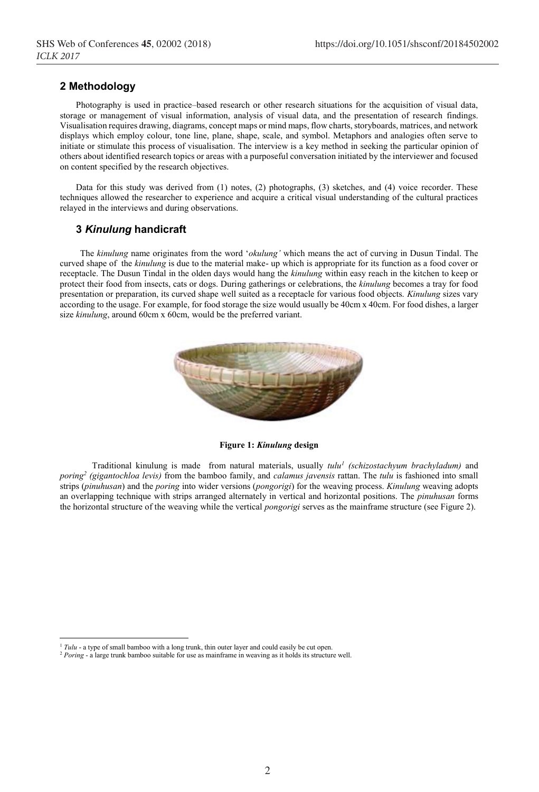# **2 Methodology**

Photography is used in practice–based research or other research situations for the acquisition of visual data, storage or management of visual information, analysis of visual data, and the presentation of research findings. Visualisation requires drawing, diagrams, concept maps or mind maps, flow charts, storyboards, matrices, and network displays which employ colour, tone line, plane, shape, scale, and symbol. Metaphors and analogies often serve to initiate or stimulate this process of visualisation. The interview is a key method in seeking the particular opinion of others about identified research topics or areas with a purposeful conversation initiated by the interviewer and focused on content specified by the research objectives.

Data for this study was derived from (1) notes, (2) photographs, (3) sketches, and (4) voice recorder. These techniques allowed the researcher to experience and acquire a critical visual understanding of the cultural practices relayed in the interviews and during observations.

## **3** *Kinulung* **handicraft**

The *kinulung* name originates from the word '*okulung'* which means the act of curving in Dusun Tindal. The curved shape of the *kinulung* is due to the material make- up which is appropriate for its function as a food cover or receptacle. The Dusun Tindal in the olden days would hang the *kinulung* within easy reach in the kitchen to keep or protect their food from insects, cats or dogs. During gatherings or celebrations, the *kinulung* becomes a tray for food presentation or preparation, its curved shape well suited as a receptacle for various food objects. *Kinulung* sizes vary according to the usage. For example, for food storage the size would usually be 40cm x 40cm. For food dishes, a larger size *kinulung*, around 60cm x 60cm, would be the preferred variant.



**Figure 1:** *Kinulung* **design**

Traditional kinulung is made from natural materials, usually *tulu<sup>1</sup> (schizostachyum brachyladum)* and *poring2 (gigantochloa levis)* from the bamboo family, and *calamus javensis* rattan. The *tulu* is fashioned into small strips (*pinuhusan*) and the *poring* into wider versions (*pongorigi*) for the weaving process. *Kinulung* weaving adopts an overlapping technique with strips arranged alternately in vertical and horizontal positions. The *pinuhusan* forms the horizontal structure of the weaving while the vertical *pongorigi* serves as the mainframe structure (see Figure 2).

<sup>&</sup>lt;sup>1</sup> *Tulu* - a type of small bamboo with a long trunk, thin outer layer and could easily be cut open.

<sup>&</sup>lt;sup>2</sup> *Poring* - a large trunk bamboo suitable for use as mainframe in weaving as it holds its structure well.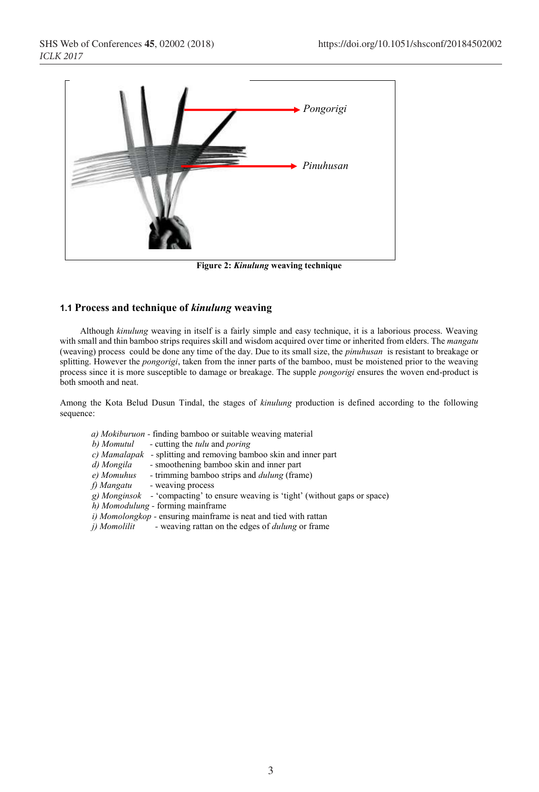

**Figure 2:** *Kinulung* **weaving technique** 

# **1.1 Process and technique of** *kinulung* **weaving**

Although *kinulung* weaving in itself is a fairly simple and easy technique, it is a laborious process. Weaving with small and thin bamboo strips requires skill and wisdom acquired over time or inherited from elders. The *mangatu*  (weaving) process could be done any time of the day. Due to its small size, the *pinuhusan* is resistant to breakage or splitting. However the *pongorigi*, taken from the inner parts of the bamboo, must be moistened prior to the weaving process since it is more susceptible to damage or breakage. The supple *pongorigi* ensures the woven end-product is both smooth and neat.

Among the Kota Belud Dusun Tindal, the stages of *kinulung* production is defined according to the following sequence:

- *a) Mokiburuon -* finding bamboo or suitable weaving material
- *b) Momutul -* cutting the *tulu* and *poring*
- *c) Mamalapak* splitting and removing bamboo skin and inner part *d) Mongila* smoothening bamboo skin and inner part
- *d) Mongila* smoothening bamboo skin and inner part *e) Momuhus* trimming bamboo strips and *dulung* (fram
- *e) Momuhus -* trimming bamboo strips and *dulung* (frame)
- *f) Mangatu -* weaving process
- *g) Monginsok -* 'compacting' to ensure weaving is 'tight' (without gaps or space)
- *h) Momodulung -* forming mainframe
- *i) Momolongkop -* ensuring mainframe is neat and tied with rattan
- *j) Momolilit -* weaving rattan on the edges of *dulung* or frame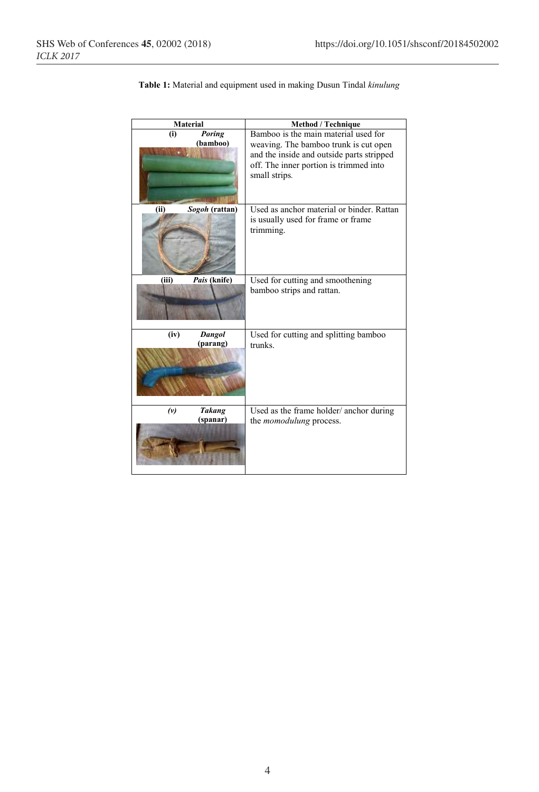| <b>Material</b> |                           | Method / Technique                                                                                                         |
|-----------------|---------------------------|----------------------------------------------------------------------------------------------------------------------------|
| (i)             | Poring<br>(bamboo)        | Bamboo is the main material used for<br>weaving. The bamboo trunk is cut open<br>and the inside and outside parts stripped |
|                 |                           | off. The inner portion is trimmed into<br>small strips.                                                                    |
| (ii)            | Sogoh (rattan)            | Used as anchor material or binder. Rattan<br>is usually used for frame or frame<br>trimming.                               |
| (iii)           | Pais (knife)              | Used for cutting and smoothening<br>bamboo strips and rattan.                                                              |
| (iv)            | Dangol<br>(parang)        | Used for cutting and splitting bamboo<br>trunks                                                                            |
| (v)             | <b>Takang</b><br>(spanar) | Used as the frame holder/ anchor during<br>the <i>momodulung</i> process.                                                  |

**Table 1:** Material and equipment used in making Dusun Tindal *kinulung*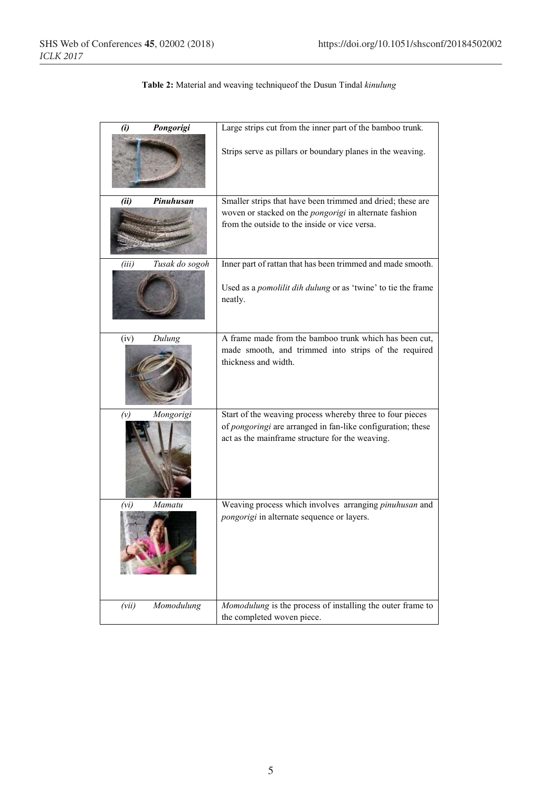**Table 2:** Material and weaving techniqueof the Dusun Tindal *kinulung*

| (i)   | Pongorigi      | Large strips cut from the inner part of the bamboo trunk.                                                      |
|-------|----------------|----------------------------------------------------------------------------------------------------------------|
|       |                | Strips serve as pillars or boundary planes in the weaving.                                                     |
| (ii)  | Pinuhusan      | Smaller strips that have been trimmed and dried; these are                                                     |
|       |                | woven or stacked on the pongorigi in alternate fashion                                                         |
|       |                | from the outside to the inside or vice versa.                                                                  |
| (iii) | Tusak do sogoh | Inner part of rattan that has been trimmed and made smooth.                                                    |
|       |                | Used as a <i>pomolilit dih dulung</i> or as 'twine' to tie the frame<br>neatly.                                |
| (iv)  | Dulung         | A frame made from the bamboo trunk which has been cut,                                                         |
|       |                | made smooth, and trimmed into strips of the required<br>thickness and width.                                   |
| (v)   | Mongorigi      | Start of the weaving process whereby three to four pieces                                                      |
|       |                | of pongoringi are arranged in fan-like configuration; these<br>act as the mainframe structure for the weaving. |
| (vi)  | Mamatu         | Weaving process which involves arranging pinuhusan and                                                         |
|       |                | pongorigi in alternate sequence or layers.                                                                     |
| (vii) | Momodulung     | Momodulung is the process of installing the outer frame to                                                     |
|       |                | the completed woven piece.                                                                                     |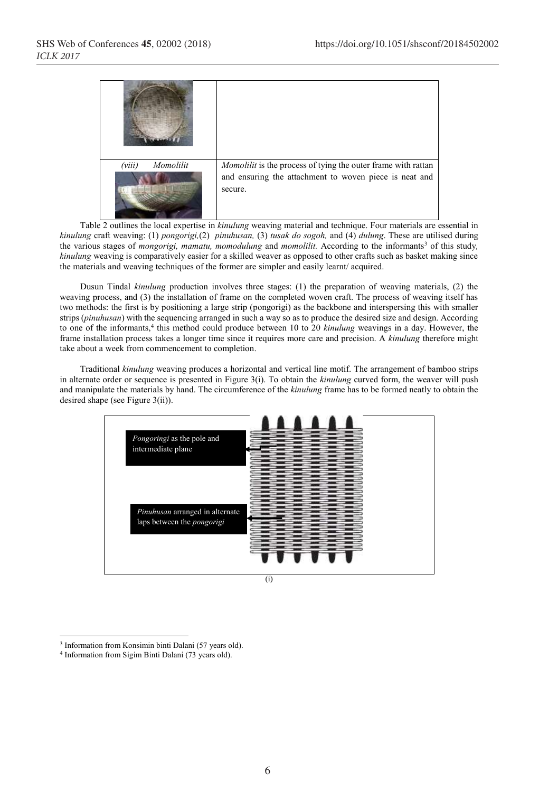| Momolilit<br>(viii) | Momolilit is the process of tying the outer frame with rattan |
|---------------------|---------------------------------------------------------------|
|                     | and ensuring the attachment to woven piece is neat and        |
|                     | secure.                                                       |

Table 2 outlines the local expertise in *kinulung* weaving material and technique. Four materials are essential in *kinulung* craft weaving: (1) *pongorigi,*(2) *pinuhusan,* (3) *tusak do sogoh,* and (4) *dulung*. These are utilised during the various stages of *mongorigi, mamatu, momodulung* and *momolilit*. According to the informants<sup>3</sup> of this study, *kinulung* weaving is comparatively easier for a skilled weaver as opposed to other crafts such as basket making since the materials and weaving techniques of the former are simpler and easily learnt/ acquired.

Dusun Tindal *kinulung* production involves three stages: (1) the preparation of weaving materials, (2) the weaving process, and (3) the installation of frame on the completed woven craft. The process of weaving itself has two methods: the first is by positioning a large strip (pongorigi) as the backbone and interspersing this with smaller strips (*pinuhusan*) with the sequencing arranged in such a way so as to produce the desired size and design. According to one of the informants,<sup>4</sup> this method could produce between 10 to 20 *kinulung* weavings in a day. However, the frame installation process takes a longer time since it requires more care and precision. A *kinulung* therefore might take about a week from commencement to completion.

Traditional *kinulung* weaving produces a horizontal and vertical line motif. The arrangement of bamboo strips in alternate order or sequence is presented in Figure 3(i). To obtain the *kinulung* curved form, the weaver will push and manipulate the materials by hand. The circumference of the *kinulung* frame has to be formed neatly to obtain the desired shape (see Figure 3(ii)).



(i)

 <sup>3</sup> Information from Konsimin binti Dalani (57 years old).

<sup>4</sup> Information from Sigim Binti Dalani (73 years old).